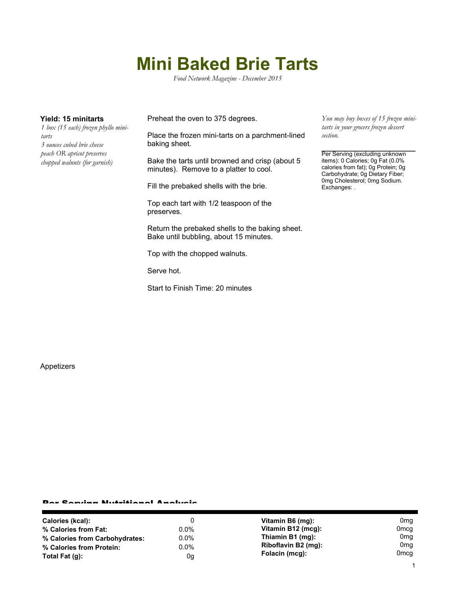## **Mini Baked Brie Tarts**

*Food Network Magazine - December 2015*

*1 box (15 each) frozen phyllo minitarts 3 ounces cubed brie cheese peach OR apricot preserves chopped walnuts (for garnish)*

**Yield: 15 minitarts** Preheat the oven to 375 degrees.

Place the frozen mini-tarts on a parchment-lined baking sheet.

Bake the tarts until browned and crisp (about 5 minutes). Remove to a platter to cool.

Fill the prebaked shells with the brie.

Top each tart with 1/2 teaspoon of the preserves.

Return the prebaked shells to the baking sheet. Bake until bubbling, about 15 minutes.

Top with the chopped walnuts.

Serve hot.

Start to Finish Time: 20 minutes

*You may buy boxes of 15 frozen minitarts in your grocers frozen dessert section.*

Per Serving (excluding unknown items): 0 Calories; 0g Fat (0.0% calories from fat); 0g Protein; 0g Carbohydrate; 0g Dietary Fiber; 0mg Cholesterol; 0mg Sodium. Exchanges: .

Appetizers

## Per Serving Nutritional Analysis

| Calories (kcal):               | 0       | Vitamin B6 (mg):    | 0 <sub>mg</sub>  |
|--------------------------------|---------|---------------------|------------------|
| % Calories from Fat:           | $0.0\%$ | Vitamin B12 (mcg):  | 0 <sub>mcg</sub> |
| % Calories from Carbohydrates: | $0.0\%$ | Thiamin B1 (mg):    | 0 <sub>mq</sub>  |
| % Calories from Protein:       | $0.0\%$ | Riboflavin B2 (mg): | 0 <sub>mg</sub>  |
| Total Fat $(q)$ :              | 0g      | Folacin (mcq):      | Omca             |